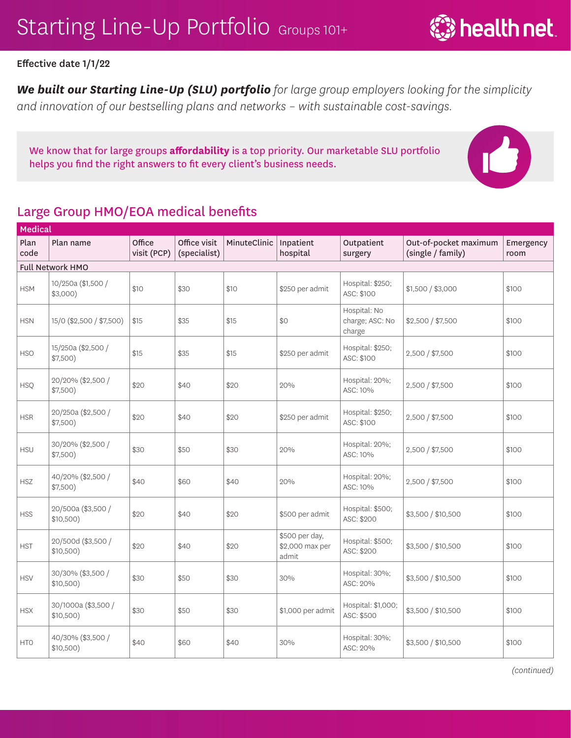**्रि** health net

#### Effective date 1/1/22

*We built our Starting Line-Up (SLU) portfolio for large group employers looking for the simplicity and innovation of our bestselling plans and networks – with sustainable cost-savings.* 

We know that for large groups **affordability** is a top priority. Our marketable SLU portfolio helps you find the right answers to fit every client's business needs.

### Large Group HMO/EOA medical benefits

| <b>Medical</b> |                                  |                       |                              |              |                                            |                                           |                                            |                   |  |  |
|----------------|----------------------------------|-----------------------|------------------------------|--------------|--------------------------------------------|-------------------------------------------|--------------------------------------------|-------------------|--|--|
| Plan<br>code   | Plan name                        | Office<br>visit (PCP) | Office visit<br>(specialist) | MinuteClinic | Inpatient<br>hospital                      | Outpatient<br>surgery                     | Out-of-pocket maximum<br>(single / family) | Emergency<br>room |  |  |
|                | Full Network HMO                 |                       |                              |              |                                            |                                           |                                            |                   |  |  |
| <b>HSM</b>     | 10/250a (\$1,500 /<br>$$3,000$ ) | \$10                  | \$30                         | \$10         | \$250 per admit                            | Hospital: \$250;<br>ASC: \$100            | \$1,500 / \$3,000                          | \$100             |  |  |
| <b>HSN</b>     | 15/0 (\$2,500 / \$7,500)         | \$15                  | \$35                         | \$15         | \$0                                        | Hospital: No<br>charge; ASC: No<br>charge | \$2,500 / \$7,500                          | \$100             |  |  |
| <b>HSO</b>     | 15/250a (\$2,500 /<br>\$7,500)   | \$15                  | \$35                         | \$15         | \$250 per admit                            | Hospital: \$250;<br>ASC: \$100            | 2,500 / \$7,500                            | \$100             |  |  |
| <b>HSQ</b>     | 20/20% (\$2,500 /<br>\$7,500)    | \$20                  | \$40                         | \$20         | 20%                                        | Hospital: 20%;<br>ASC: 10%                | 2,500 / \$7,500                            | \$100             |  |  |
| <b>HSR</b>     | 20/250a (\$2,500 /<br>\$7,500)   | \$20                  | \$40                         | \$20         | \$250 per admit                            | Hospital: \$250;<br>ASC: \$100            | 2,500 / \$7,500                            | \$100             |  |  |
| <b>HSU</b>     | 30/20% (\$2,500 /<br>\$7,500)    | \$30                  | \$50                         | \$30         | 20%                                        | Hospital: 20%;<br>ASC: 10%                | 2,500 / \$7,500                            | \$100             |  |  |
| <b>HSZ</b>     | 40/20% (\$2,500 /<br>\$7,500)    | \$40                  | \$60                         | \$40         | 20%                                        | Hospital: 20%;<br>ASC: 10%                | 2,500 / \$7,500                            | \$100             |  |  |
| <b>HSS</b>     | 20/500a (\$3,500 /<br>\$10,500)  | \$20                  | \$40                         | \$20         | \$500 per admit                            | Hospital: \$500;<br>ASC: \$200            | \$3,500 / \$10,500                         | \$100             |  |  |
| <b>HST</b>     | 20/500d (\$3,500 /<br>\$10,500)  | \$20                  | \$40                         | \$20         | \$500 per day,<br>\$2,000 max per<br>admit | Hospital: \$500;<br>ASC: \$200            | \$3,500 / \$10,500                         | \$100             |  |  |
| <b>HSV</b>     | 30/30% (\$3,500 /<br>\$10,500)   | \$30                  | \$50                         | \$30         | 30%                                        | Hospital: 30%;<br>ASC: 20%                | \$3,500 / \$10,500                         | \$100             |  |  |
| <b>HSX</b>     | 30/1000a (\$3,500 /<br>\$10,500) | \$30                  | \$50                         | \$30         | \$1,000 per admit                          | Hospital: \$1,000;<br>ASC: \$500          | \$3,500 / \$10,500                         | \$100             |  |  |
| <b>HTO</b>     | 40/30% (\$3,500 /<br>\$10,500)   | \$40                  | \$60                         | \$40         | 30%                                        | Hospital: 30%;<br>ASC: 20%                | \$3,500 / \$10,500                         | \$100             |  |  |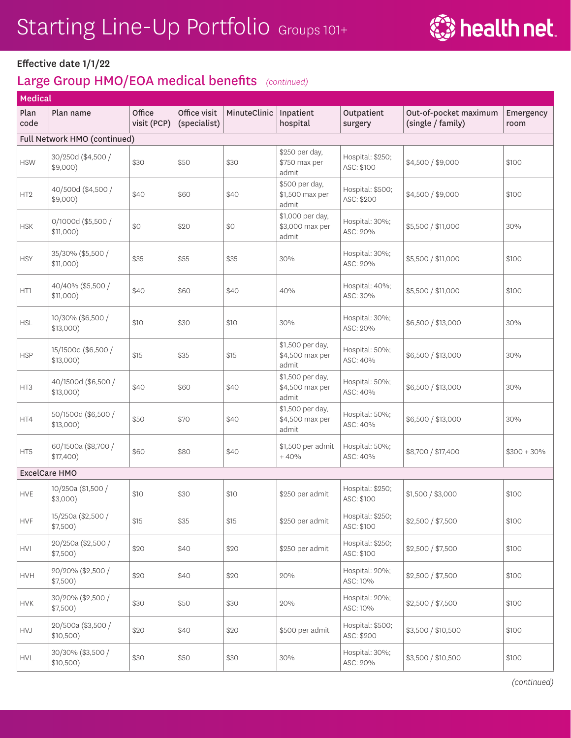

| <b>Medical</b>  |                                    |                       |                              |              |                                              |                                |                                            |                   |  |
|-----------------|------------------------------------|-----------------------|------------------------------|--------------|----------------------------------------------|--------------------------------|--------------------------------------------|-------------------|--|
| Plan<br>code    | Plan name                          | Office<br>visit (PCP) | Office visit<br>(specialist) | MinuteClinic | Inpatient<br>hospital                        | Outpatient<br>surgery          | Out-of-pocket maximum<br>(single / family) | Emergency<br>room |  |
|                 | Full Network HMO (continued)       |                       |                              |              |                                              |                                |                                            |                   |  |
| <b>HSW</b>      | 30/250d (\$4,500 /<br>$$9,000$ )   | \$30                  | \$50                         | \$30         | \$250 per day,<br>\$750 max per<br>admit     | Hospital: \$250;<br>ASC: \$100 | \$4,500 / \$9,000                          | \$100             |  |
| HT <sub>2</sub> | 40/500d (\$4,500 /<br>$$9,000$ )   | \$40                  | \$60                         | \$40         | \$500 per day,<br>\$1,500 max per<br>admit   | Hospital: \$500;<br>ASC: \$200 | \$4,500 / \$9,000                          | \$100             |  |
| <b>HSK</b>      | 0/1000d (\$5,500 /<br>$$11,000$ )  | \$0                   | \$20                         | \$0          | \$1,000 per day,<br>\$3,000 max per<br>admit | Hospital: 30%;<br>ASC: 20%     | \$5,500 / \$11,000                         | 30%               |  |
| <b>HSY</b>      | 35/30% (\$5,500 /<br>$$11,000$ )   | \$35                  | \$55                         | \$35         | 30%                                          | Hospital: 30%;<br>ASC: 20%     | \$5,500 / \$11,000                         | \$100             |  |
| HT1             | 40/40% (\$5,500 /<br>$$11,000$ )   | \$40                  | \$60                         | \$40         | 40%                                          | Hospital: 40%;<br>ASC: 30%     | \$5,500 / \$11,000                         | \$100             |  |
| <b>HSL</b>      | 10/30% (\$6,500 /<br>$$13,000$ )   | \$10                  | \$30                         | \$10         | 30%                                          | Hospital: 30%;<br>ASC: 20%     | \$6,500 / \$13,000                         | 30%               |  |
| <b>HSP</b>      | 15/1500d (\$6,500 /<br>$$13,000$ ) | \$15                  | \$35                         | \$15         | \$1,500 per day,<br>\$4,500 max per<br>admit | Hospital: 50%;<br>ASC: 40%     | \$6,500 / \$13,000                         | 30%               |  |
| HT3             | 40/1500d (\$6,500 /<br>$$13,000$ ) | \$40                  | \$60                         | \$40         | \$1,500 per day,<br>\$4,500 max per<br>admit | Hospital: 50%;<br>ASC: 40%     | \$6,500 / \$13,000                         | 30%               |  |
| HT4             | 50/1500d (\$6,500 /<br>$$13,000$ ) | \$50                  | \$70                         | \$40         | \$1,500 per day,<br>\$4,500 max per<br>admit | Hospital: 50%;<br>ASC: 40%     | \$6,500 / \$13,000                         | 30%               |  |
| HT5             | 60/1500a (\$8,700 /<br>\$17,400)   | \$60                  | \$80                         | \$40         | \$1,500 per admit<br>$+40%$                  | Hospital: 50%;<br>ASC: 40%     | \$8,700 / \$17,400                         | $$300 + 30\%$     |  |
|                 | <b>ExcelCare HMO</b>               |                       |                              |              |                                              |                                |                                            |                   |  |
| <b>HVE</b>      | 10/250a (\$1,500 /<br>$$3,000$ )   | \$10                  | \$30                         | \$10         | \$250 per admit                              | Hospital: \$250;<br>ASC: \$100 | \$1,500 / \$3,000                          | \$100             |  |
| <b>HVF</b>      | 15/250a (\$2,500 /<br>$$7,500$ )   | \$15                  | \$35                         | \$15         | \$250 per admit                              | Hospital: \$250;<br>ASC: \$100 | \$2,500 / \$7,500                          | \$100             |  |
| <b>HVI</b>      | 20/250a (\$2,500 /<br>\$7,500)     | \$20                  | \$40                         | \$20         | \$250 per admit                              | Hospital: \$250;<br>ASC: \$100 | \$2,500 / \$7,500                          | \$100             |  |
| <b>HVH</b>      | 20/20% (\$2,500 /<br>$$7,500$ )    | \$20                  | \$40                         | \$20         | 20%                                          | Hospital: 20%;<br>ASC: 10%     | \$2,500 / \$7,500                          | \$100             |  |
| <b>HVK</b>      | 30/20% (\$2,500 /<br>\$7,500)      | \$30                  | \$50                         | \$30         | 20%                                          | Hospital: 20%;<br>ASC: 10%     | \$2,500 / \$7,500                          | \$100             |  |
| <b>HVJ</b>      | 20/500a (\$3,500 /<br>\$10,500)    | \$20                  | \$40                         | \$20         | \$500 per admit                              | Hospital: \$500;<br>ASC: \$200 | \$3,500 / \$10,500                         | \$100             |  |
| <b>HVL</b>      | 30/30% (\$3,500 /<br>\$10,500)     | \$30                  | \$50                         | \$30         | 30%                                          | Hospital: 30%;<br>ASC: 20%     | \$3,500 / \$10,500                         | \$100             |  |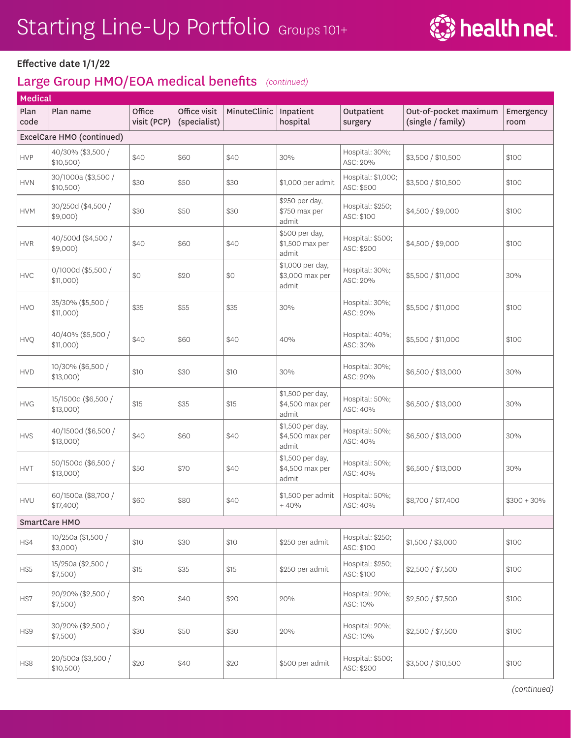

| Medical      |                                    |                       |                              |              |                                              |                                  |                                            |                   |
|--------------|------------------------------------|-----------------------|------------------------------|--------------|----------------------------------------------|----------------------------------|--------------------------------------------|-------------------|
| Plan<br>code | Plan name                          | Office<br>visit (PCP) | Office visit<br>(specialist) | MinuteClinic | Inpatient<br>hospital                        | Outpatient<br>surgery            | Out-of-pocket maximum<br>(single / family) | Emergency<br>room |
|              | ExcelCare HMO (continued)          |                       |                              |              |                                              |                                  |                                            |                   |
| <b>HVP</b>   | 40/30% (\$3,500 /<br>\$10,500)     | \$40                  | \$60                         | \$40         | 30%                                          | Hospital: 30%;<br>ASC: 20%       | \$3,500 / \$10,500                         | \$100             |
| <b>HVN</b>   | 30/1000a (\$3,500 /<br>\$10,500)   | \$30                  | \$50                         | \$30         | \$1,000 per admit                            | Hospital: \$1,000;<br>ASC: \$500 | \$3,500 / \$10,500                         | \$100             |
| <b>HVM</b>   | 30/250d (\$4,500 /<br>\$9,000)     | \$30                  | \$50                         | \$30         | \$250 per day,<br>\$750 max per<br>admit     | Hospital: \$250;<br>ASC: \$100   | \$4,500 / \$9,000                          | \$100             |
| <b>HVR</b>   | 40/500d (\$4,500 /<br>$$9,000$ )   | \$40                  | \$60                         | \$40         | \$500 per day,<br>\$1,500 max per<br>admit   | Hospital: \$500;<br>ASC: \$200   | \$4,500 / \$9,000                          | \$100             |
| <b>HVC</b>   | 0/1000d (\$5,500 /<br>\$11,000)    | \$0                   | \$20                         | \$0          | \$1,000 per day,<br>\$3,000 max per<br>admit | Hospital: 30%;<br>ASC: 20%       | \$5,500 / \$11,000                         | 30%               |
| <b>HVO</b>   | 35/30% (\$5,500 /<br>\$11,000)     | \$35                  | \$55                         | \$35         | 30%                                          | Hospital: 30%;<br>ASC: 20%       | \$5,500 / \$11,000                         | \$100             |
| HVQ          | 40/40% (\$5,500 /<br>$$11,000$ )   | \$40                  | \$60                         | \$40         | 40%                                          | Hospital: 40%;<br>ASC: 30%       | \$5,500 / \$11,000                         | \$100             |
| <b>HVD</b>   | 10/30% (\$6,500 /<br>$$13,000$ )   | \$10                  | \$30                         | \$10         | 30%                                          | Hospital: 30%;<br>ASC: 20%       | \$6,500 / \$13,000                         | 30%               |
| <b>HVG</b>   | 15/1500d (\$6,500 /<br>$$13,000$ ) | \$15                  | \$35                         | \$15         | \$1,500 per day,<br>\$4,500 max per<br>admit | Hospital: 50%;<br>ASC: 40%       | \$6,500 / \$13,000                         | 30%               |
| <b>HVS</b>   | 40/1500d (\$6,500 /<br>\$13,000)   | \$40                  | \$60                         | \$40         | \$1,500 per day,<br>\$4,500 max per<br>admit | Hospital: 50%;<br>ASC: 40%       | \$6,500 / \$13,000                         | 30%               |
| <b>HVT</b>   | 50/1500d (\$6,500 /<br>$$13,000$ ) | \$50                  | \$70                         | \$40         | \$1,500 per day,<br>\$4,500 max per<br>admit | Hospital: 50%;<br>ASC: 40%       | \$6,500 / \$13,000                         | 30%               |
| <b>HVU</b>   | 60/1500a (\$8,700 /<br>\$17,400)   | \$60                  | \$80                         | \$40         | \$1,500 per admit<br>$+40%$                  | Hospital: 50%;<br>ASC: 40%       | \$8,700 / \$17,400                         | $$300 + 30\%$     |
|              | SmartCare HMO                      |                       |                              |              |                                              |                                  |                                            |                   |
| HS4          | 10/250a (\$1,500 /<br>$$3,000$ )   | \$10                  | \$30                         | \$10         | \$250 per admit                              | Hospital: \$250;<br>ASC: \$100   | \$1,500 / \$3,000                          | \$100             |
| HS5          | 15/250a (\$2,500 /<br>\$7,500)     | \$15                  | \$35                         | \$15         | \$250 per admit                              | Hospital: \$250;<br>ASC: \$100   | \$2,500 / \$7,500                          | \$100             |
| HS7          | 20/20% (\$2,500 /<br>\$7,500)      | \$20                  | \$40                         | \$20         | 20%                                          | Hospital: 20%;<br>ASC: 10%       | \$2,500 / \$7,500                          | \$100             |
| HS9          | 30/20% (\$2,500 /<br>\$7,500)      | \$30                  | \$50                         | \$30         | 20%                                          | Hospital: 20%;<br>ASC: 10%       | \$2,500 / \$7,500                          | \$100             |
| HS8          | 20/500a (\$3,500 /<br>\$10,500)    | \$20                  | \$40                         | \$20         | \$500 per admit                              | Hospital: \$500;<br>ASC: \$200   | \$3,500 / \$10,500                         | \$100             |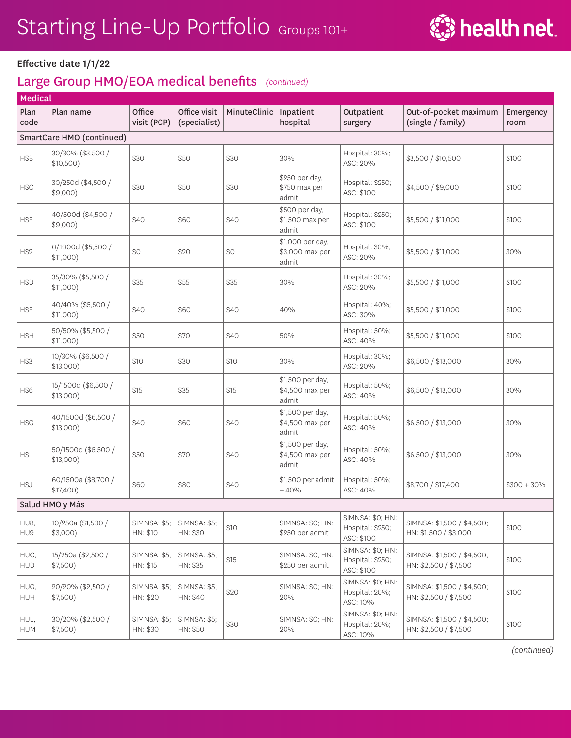

#### Effective date 1/1/22

#### Large Group HMO/EOA medical benefits *(continued)*

|                    | Medical                            |                                 |                                 |              |                                              |                                                    |                                                     |                   |  |  |
|--------------------|------------------------------------|---------------------------------|---------------------------------|--------------|----------------------------------------------|----------------------------------------------------|-----------------------------------------------------|-------------------|--|--|
| Plan<br>code       | Plan name                          | Office<br>visit (PCP)           | Office visit<br>(specialist)    | MinuteClinic | Inpatient<br>hospital                        | Outpatient<br>surgery                              | Out-of-pocket maximum<br>(single / family)          | Emergency<br>room |  |  |
|                    | SmartCare HMO (continued)          |                                 |                                 |              |                                              |                                                    |                                                     |                   |  |  |
| <b>HSB</b>         | 30/30% (\$3,500 /<br>\$10,500)     | \$30                            | \$50                            | \$30         | 30%                                          | Hospital: 30%;<br>ASC: 20%                         | \$3,500 / \$10,500                                  | \$100             |  |  |
| <b>HSC</b>         | 30/250d (\$4,500 /<br>\$9,000)     | \$30                            | \$50                            | \$30         | \$250 per day,<br>\$750 max per<br>admit     | Hospital: \$250;<br>ASC: \$100                     | \$4,500 / \$9,000                                   | \$100             |  |  |
| <b>HSF</b>         | 40/500d (\$4,500 /<br>$$9,000$ )   | \$40                            | \$60                            | \$40         | \$500 per day,<br>\$1,500 max per<br>admit   | Hospital: \$250;<br>ASC: \$100                     | \$5,500 / \$11,000                                  | \$100             |  |  |
| HS <sub>2</sub>    | 0/1000d (\$5,500 /<br>$$11,000$ )  | \$0                             | \$20                            | \$0          | \$1,000 per day,<br>\$3,000 max per<br>admit | Hospital: 30%;<br>ASC: 20%                         | \$5,500 / \$11,000                                  | 30%               |  |  |
| <b>HSD</b>         | 35/30% (\$5,500 /<br>$$11,000$ )   | \$35                            | \$55                            | \$35         | 30%                                          | Hospital: 30%;<br>ASC: 20%                         | \$5,500 / \$11,000                                  | \$100             |  |  |
| <b>HSE</b>         | 40/40% (\$5,500 /<br>\$11,000)     | \$40                            | \$60                            | \$40         | 40%                                          | Hospital: 40%;<br>ASC: 30%                         | \$5,500 / \$11,000                                  | \$100             |  |  |
| <b>HSH</b>         | 50/50% (\$5,500 /<br>$$11,000$ )   | \$50                            | \$70                            | \$40         | 50%                                          | Hospital: 50%;<br>ASC: 40%                         | \$5,500 / \$11,000                                  | \$100             |  |  |
| HS3                | 10/30% (\$6,500 /<br>$$13,000$ )   | \$10                            | \$30                            | \$10         | 30%                                          | Hospital: 30%;<br>ASC: 20%                         | \$6,500 / \$13,000                                  | 30%               |  |  |
| HS6                | 15/1500d (\$6,500 /<br>$$13,000$ ) | \$15                            | \$35                            | \$15         | \$1,500 per day,<br>\$4,500 max per<br>admit | Hospital: 50%;<br>ASC: 40%                         | \$6,500 / \$13,000                                  | 30%               |  |  |
| <b>HSG</b>         | 40/1500d (\$6,500 /<br>\$13,000)   | \$40                            | \$60                            | \$40         | \$1,500 per day,<br>\$4,500 max per<br>admit | Hospital: 50%;<br>ASC: 40%                         | \$6,500 / \$13,000                                  | 30%               |  |  |
| <b>HSI</b>         | 50/1500d (\$6,500 /<br>$$13,000$ ) | \$50                            | \$70                            | \$40         | \$1,500 per day,<br>\$4,500 max per<br>admit | Hospital: 50%;<br>ASC: 40%                         | \$6,500 / \$13,000                                  | 30%               |  |  |
| <b>HSJ</b>         | 60/1500a (\$8,700 /<br>\$17,400)   | \$60                            | \$80                            | \$40         | \$1,500 per admit<br>$+40%$                  | Hospital: 50%;<br>ASC: 40%                         | \$8,700 / \$17,400                                  | $$300 + 30\%$     |  |  |
|                    | Salud HMO y Más                    |                                 |                                 |              |                                              |                                                    |                                                     |                   |  |  |
| HU8,<br>HU9        | 10/250a (\$1,500 /<br>\$3,000)     | <b>SIMNSA: \$5;</b><br>HN: \$10 | <b>SIMNSA: \$5;</b><br>HN: \$30 | \$10         | SIMNSA: \$0; HN:<br>\$250 per admit          | SIMNSA: \$0; HN:<br>Hospital: \$250;<br>ASC: \$100 | SIMNSA: \$1,500 / \$4,500;<br>HN: \$1,500 / \$3,000 | \$100             |  |  |
| HUC,<br><b>HUD</b> | 15/250a (\$2,500 /<br>\$7,500)     | <b>SIMNSA: \$5;</b><br>HN: \$15 | SIMNSA: \$5;<br>HN: \$35        | \$15         | SIMNSA: \$0; HN:<br>\$250 per admit          | SIMNSA: \$0; HN:<br>Hospital: \$250;<br>ASC: \$100 | SIMNSA: \$1,500 / \$4,500;<br>HN: \$2,500 / \$7,500 | \$100             |  |  |
| HUG,<br>HUH        | 20/20% (\$2,500 /<br>$$7,500$ )    | <b>SIMNSA: \$5;</b><br>HN: \$20 | SIMNSA: \$5;<br>HN: \$40        | \$20         | SIMNSA: \$0; HN:<br>20%                      | SIMNSA: \$0; HN:<br>Hospital: 20%;<br>ASC: 10%     | SIMNSA: \$1,500 / \$4,500;<br>HN: \$2,500 / \$7,500 | \$100             |  |  |
| HUL,<br><b>HUM</b> | 30/20% (\$2,500 /<br>\$7,500)      | <b>SIMNSA: \$5;</b><br>HN: \$30 | SIMNSA: \$5;<br>HN: \$50        | \$30         | SIMNSA: \$0; HN:<br>20%                      | SIMNSA: \$0; HN:<br>Hospital: 20%;<br>ASC: 10%     | SIMNSA: \$1,500 / \$4,500;<br>HN: \$2,500 / \$7,500 | \$100             |  |  |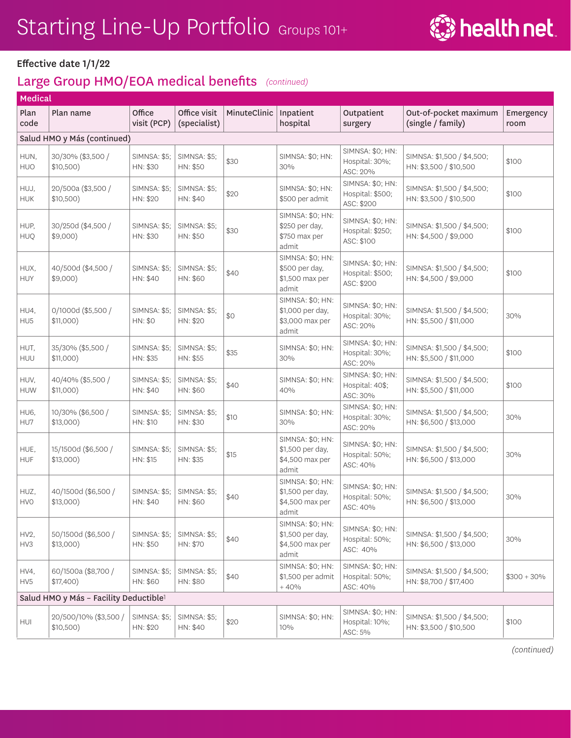

#### Large Group HMO/EOA medical benefits *(continued)*

| <b>Medical</b>           |                                                    |                                 |                                 |              |                                                                  |                                                    |                                                      |                   |  |
|--------------------------|----------------------------------------------------|---------------------------------|---------------------------------|--------------|------------------------------------------------------------------|----------------------------------------------------|------------------------------------------------------|-------------------|--|
| Plan<br>code             | Plan name                                          | Office<br>visit (PCP)           | Office visit<br>(specialist)    | MinuteClinic | Inpatient<br>hospital                                            | Outpatient<br>surgery                              | Out-of-pocket maximum<br>(single / family)           | Emergency<br>room |  |
|                          | Salud HMO y Más (continued)                        |                                 |                                 |              |                                                                  |                                                    |                                                      |                   |  |
| HUN,<br><b>HUO</b>       | 30/30% (\$3,500 /<br>\$10,500)                     | <b>SIMNSA: \$5;</b><br>HN: \$30 | <b>SIMNSA: \$5:</b><br>HN: \$50 | \$30         | SIMNSA: \$0: HN:<br>30%                                          | SIMNSA: \$0; HN:<br>Hospital: 30%;<br>ASC: 20%     | SIMNSA: \$1,500 / \$4,500;<br>HN: \$3,500 / \$10,500 | \$100             |  |
| HUJ,<br><b>HUK</b>       | 20/500a (\$3,500 /<br>\$10,500)                    | SIMNSA: \$5;<br>HN: \$20        | <b>SIMNSA: \$5;</b><br>HN: \$40 | \$20         | SIMNSA: \$0; HN:<br>\$500 per admit                              | SIMNSA: \$0; HN:<br>Hospital: \$500;<br>ASC: \$200 | SIMNSA: \$1,500 / \$4,500;<br>HN: \$3,500 / \$10,500 | \$100             |  |
| HUP,<br><b>HUQ</b>       | 30/250d (\$4,500 /<br>$$9,000$ )                   | <b>SIMNSA: \$5;</b><br>HN: \$30 | <b>SIMNSA: \$5;</b><br>HN: \$50 | \$30         | SIMNSA: \$0; HN:<br>\$250 per day,<br>\$750 max per<br>admit     | SIMNSA: \$0; HN:<br>Hospital: \$250;<br>ASC: \$100 | SIMNSA: \$1,500 / \$4,500;<br>HN: \$4,500 / \$9,000  | \$100             |  |
| HUX,<br><b>HUY</b>       | 40/500d (\$4,500 /<br>$$9,000$ )                   | SIMNSA: \$5;<br>HN: \$40        | <b>SIMNSA: \$5;</b><br>HN: \$60 | \$40         | SIMNSA: \$0; HN:<br>\$500 per day,<br>\$1,500 max per<br>admit   | SIMNSA: \$0; HN:<br>Hospital: \$500;<br>ASC: \$200 | SIMNSA: \$1,500 / \$4,500;<br>HN: \$4,500 / \$9,000  | \$100             |  |
| HU4,<br>HU <sub>5</sub>  | 0/1000d (\$5,500 /<br>$$11,000$ )                  | <b>SIMNSA: \$5;</b><br>HN: \$0  | <b>SIMNSA: \$5;</b><br>HN: \$20 | \$0          | SIMNSA: \$0; HN:<br>\$1,000 per day,<br>\$3,000 max per<br>admit | SIMNSA: \$0; HN:<br>Hospital: 30%;<br>ASC: 20%     | SIMNSA: \$1,500 / \$4,500;<br>HN: \$5,500 / \$11,000 | 30%               |  |
| HUT,<br>HUU              | 35/30% (\$5,500 /<br>\$11,000)                     | <b>SIMNSA: \$5;</b><br>HN: \$35 | <b>SIMNSA: \$5;</b><br>HN: \$55 | \$35         | SIMNSA: \$0; HN:<br>30%                                          | SIMNSA: \$0; HN:<br>Hospital: 30%;<br>ASC: 20%     | SIMNSA: \$1,500 / \$4,500;<br>HN: \$5,500 / \$11,000 | \$100             |  |
| HUV,<br><b>HUW</b>       | 40/40% (\$5,500 /<br>\$11,000)                     | <b>SIMNSA: \$5;</b><br>HN: \$40 | <b>SIMNSA: \$5;</b><br>HN: \$60 | \$40         | SIMNSA: \$0; HN:<br>40%                                          | SIMNSA: \$0; HN:<br>Hospital: 40\$;<br>ASC: 30%    | SIMNSA: \$1,500 / \$4,500;<br>HN: \$5,500 / \$11,000 | \$100             |  |
| HU6,<br>HU7              | 10/30% (\$6,500 /<br>$$13,000$ )                   | <b>SIMNSA: \$5;</b><br>HN: \$10 | <b>SIMNSA: \$5;</b><br>HN: \$30 | \$10         | SIMNSA: \$0; HN:<br>30%                                          | SIMNSA: \$0; HN:<br>Hospital: 30%;<br>ASC: 20%     | SIMNSA: \$1,500 / \$4,500;<br>HN: \$6,500 / \$13,000 | 30%               |  |
| HUE,<br><b>HUF</b>       | 15/1500d (\$6,500 /<br>$$13,000$ )                 | <b>SIMNSA: \$5;</b><br>HN: \$15 | <b>SIMNSA: \$5;</b><br>HN: \$35 | \$15         | SIMNSA: \$0; HN:<br>\$1,500 per day,<br>\$4,500 max per<br>admit | SIMNSA: \$0; HN:<br>Hospital: 50%;<br>ASC: 40%     | SIMNSA: \$1,500 / \$4,500;<br>HN: \$6,500 / \$13,000 | 30%               |  |
| HUZ,<br><b>HVO</b>       | 40/1500d (\$6,500 /<br>$$13,000$ )                 | SIMNSA: \$5;<br>HN: \$40        | <b>SIMNSA: \$5;</b><br>HN: \$60 | \$40         | SIMNSA: \$0; HN:<br>\$1,500 per day,<br>\$4,500 max per<br>admit | SIMNSA: \$0; HN:<br>Hospital: 50%;<br>ASC: 40%     | SIMNSA: \$1,500 / \$4,500;<br>HN: \$6,500 / \$13,000 | 30%               |  |
| HV <sub>2</sub> ,<br>HV3 | 50/1500d (\$6,500 /<br>$$13,000$ )                 | <b>SIMNSA: \$5;</b><br>HN: \$50 | <b>SIMNSA: \$5;</b><br>HN: \$70 | \$40         | SIMNSA: \$0; HN:<br>\$1,500 per day,<br>\$4,500 max per<br>admit | SIMNSA: \$0; HN:<br>Hospital: 50%;<br>ASC: 40%     | SIMNSA: \$1,500 / \$4,500;<br>HN: \$6,500 / \$13,000 | 30%               |  |
| HV4,<br>HV5              | 60/1500a (\$8,700 /<br>$$17,400$ )                 | <b>SIMNSA: \$5;</b><br>HN: \$60 | <b>SIMNSA: \$5;</b><br>HN: \$80 | \$40         | SIMNSA: \$0; HN:<br>\$1,500 per admit<br>$+40%$                  | SIMNSA: \$0; HN:<br>Hospital: 50%;<br>ASC: 40%     | SIMNSA: \$1,500 / \$4,500;<br>HN: \$8,700 / \$17,400 | $$300 + 30\%$     |  |
|                          | Salud HMO y Más - Facility Deductible <sup>1</sup> |                                 |                                 |              |                                                                  |                                                    |                                                      |                   |  |
| HUI                      | 20/500/10% (\$3,500 /<br>\$10,500)                 | <b>SIMNSA: \$5;</b><br>HN: \$20 | <b>SIMNSA: \$5;</b><br>HN: \$40 | \$20         | SIMNSA: \$0; HN:<br>10%                                          | SIMNSA: \$0; HN:<br>Hospital: 10%;<br>ASC: 5%      | SIMNSA: \$1,500 / \$4,500;<br>HN: \$3,500 / \$10,500 | \$100             |  |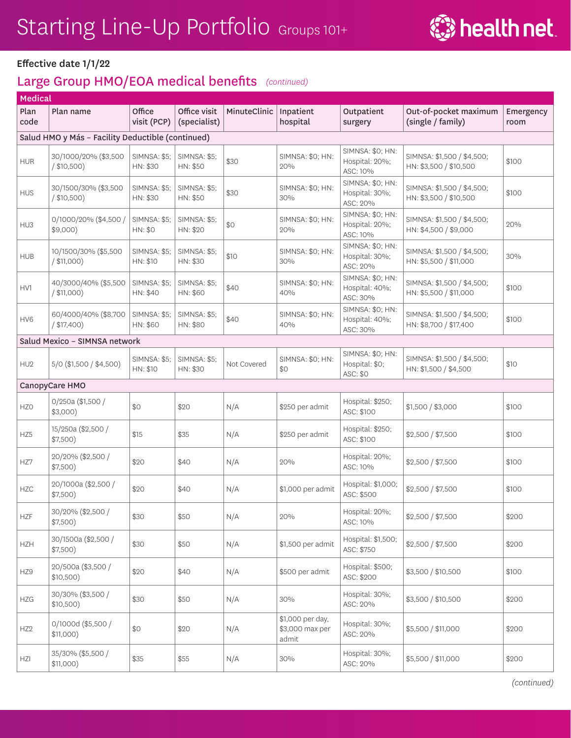

|                 | <b>Medical</b>                                    |                                 |                                 |              |                                              |                                                |                                                      |                   |  |  |
|-----------------|---------------------------------------------------|---------------------------------|---------------------------------|--------------|----------------------------------------------|------------------------------------------------|------------------------------------------------------|-------------------|--|--|
| Plan<br>code    | Plan name                                         | Office<br>visit (PCP)           | Office visit<br>(specialist)    | MinuteClinic | Inpatient<br>hospital                        | Outpatient<br>surgery                          | Out-of-pocket maximum<br>(single / family)           | Emergency<br>room |  |  |
|                 | Salud HMO y Más - Facility Deductible (continued) |                                 |                                 |              |                                              |                                                |                                                      |                   |  |  |
| <b>HUR</b>      | 30/1000/20% (\$3,500<br>/ \$10,500)               | <b>SIMNSA: \$5;</b><br>HN: \$30 | <b>SIMNSA: \$5;</b><br>HN: \$50 | \$30         | SIMNSA: \$0; HN:<br>20%                      | SIMNSA: \$0; HN:<br>Hospital: 20%;<br>ASC: 10% | SIMNSA: \$1,500 / \$4,500;<br>HN: \$3,500 / \$10,500 | \$100             |  |  |
| <b>HUS</b>      | 30/1500/30% (\$3,500<br>/ \$10,500)               | <b>SIMNSA: \$5;</b><br>HN: \$30 | <b>SIMNSA: \$5;</b><br>HN: \$50 | \$30         | SIMNSA: \$0; HN:<br>30%                      | SIMNSA: \$0; HN:<br>Hospital: 30%;<br>ASC: 20% | SIMNSA: \$1,500 / \$4,500;<br>HN: \$3,500 / \$10,500 | \$100             |  |  |
| HU3             | 0/1000/20% (\$4,500 /<br>$$9,000$ )               | <b>SIMNSA: \$5;</b><br>HN: \$0  | <b>SIMNSA: \$5:</b><br>HN: \$20 | \$0          | SIMNSA: \$0; HN:<br>20%                      | SIMNSA: \$0; HN:<br>Hospital: 20%;<br>ASC: 10% | SIMNSA: \$1,500 / \$4,500;<br>HN: \$4,500 / \$9,000  | 20%               |  |  |
| <b>HUB</b>      | 10/1500/30% (\$5,500<br>/ \$11,000)               | <b>SIMNSA: \$5;</b><br>HN: \$10 | SIMNSA: \$5;<br>HN: \$30        | \$10         | SIMNSA: \$0; HN:<br>30%                      | SIMNSA: \$0; HN:<br>Hospital: 30%;<br>ASC: 20% | SIMNSA: \$1,500 / \$4,500;<br>HN: \$5,500 / \$11,000 | 30%               |  |  |
| HV1             | 40/3000/40% (\$5,500<br>/ \$11,000)               | <b>SIMNSA: \$5;</b><br>HN: \$40 | SIMNSA: \$5;<br>HN: \$60        | \$40         | SIMNSA: \$0; HN:<br>40%                      | SIMNSA: \$0; HN:<br>Hospital: 40%;<br>ASC: 30% | SIMNSA: \$1,500 / \$4,500;<br>HN: \$5,500 / \$11,000 | \$100             |  |  |
| HV <sub>6</sub> | 60/4000/40% (\$8,700<br>$/$ \$17,400)             | <b>SIMNSA: \$5;</b><br>HN: \$60 | <b>SIMNSA: \$5;</b><br>HN: \$80 | \$40         | SIMNSA: \$0; HN:<br>40%                      | SIMNSA: \$0; HN:<br>Hospital: 40%;<br>ASC: 30% | SIMNSA: \$1,500 / \$4,500;<br>HN: \$8,700 / \$17,400 | \$100             |  |  |
|                 | Salud Mexico - SIMNSA network                     |                                 |                                 |              |                                              |                                                |                                                      |                   |  |  |
| HU <sub>2</sub> | 5/0 (\$1,500 / \$4,500)                           | <b>SIMNSA: \$5;</b><br>HN: \$10 | <b>SIMNSA: \$5;</b><br>HN: \$30 | Not Covered  | SIMNSA: \$0; HN:<br>\$0                      | SIMNSA: \$0; HN:<br>Hospital: \$0;<br>ASC: \$0 | SIMNSA: \$1,500 / \$4,500;<br>HN: \$1,500 / \$4,500  | \$10              |  |  |
|                 | CanopyCare HMO                                    |                                 |                                 |              |                                              |                                                |                                                      |                   |  |  |
| <b>HZO</b>      | 0/250a (\$1,500 /<br>$$3,000$ )                   | \$0                             | \$20                            | N/A          | \$250 per admit                              | Hospital: \$250;<br>ASC: \$100                 | \$1,500 / \$3,000                                    | \$100             |  |  |
| HZ5             | 15/250a (\$2,500 /<br>\$7,500)                    | \$15                            | \$35                            | N/A          | \$250 per admit                              | Hospital: \$250;<br>ASC: \$100                 | \$2,500 / \$7,500                                    | \$100             |  |  |
| HZ7             | 20/20% (\$2,500 /<br>\$7,500)                     | \$20                            | \$40                            | N/A          | 20%                                          | Hospital: 20%;<br>ASC: 10%                     | \$2,500 / \$7,500                                    | \$100             |  |  |
| <b>HZC</b>      | 20/1000a (\$2,500 /<br>\$7,500)                   | \$20                            | \$40                            | N/A          | \$1,000 per admit                            | Hospital: \$1,000;<br>ASC: \$500               | \$2,500 / \$7,500                                    | \$100             |  |  |
| <b>HZF</b>      | 30/20% (\$2,500 /<br>\$7,500)                     | \$30                            | \$50                            | N/A          | 20%                                          | Hospital: 20%;<br>ASC: 10%                     | \$2,500 / \$7,500                                    | \$200             |  |  |
| <b>HZH</b>      | 30/1500a (\$2,500 /<br>\$7,500)                   | \$30                            | \$50                            | N/A          | \$1,500 per admit                            | Hospital: \$1,500;<br>ASC: \$750               | \$2,500 / \$7,500                                    | \$200             |  |  |
| HZ9             | 20/500a (\$3,500 /<br>\$10,500)                   | \$20                            | \$40                            | N/A          | \$500 per admit                              | Hospital: \$500;<br>ASC: \$200                 | \$3,500 / \$10,500                                   | \$100             |  |  |
| HZG             | 30/30% (\$3,500 /<br>\$10,500)                    | \$30                            | \$50                            | N/A          | 30%                                          | Hospital: 30%;<br>ASC: 20%                     | \$3,500 / \$10,500                                   | \$200             |  |  |
| HZ <sub>2</sub> | 0/1000d (\$5,500 /<br>\$11,000)                   | \$0                             | \$20                            | N/A          | \$1,000 per day,<br>\$3,000 max per<br>admit | Hospital: 30%;<br>ASC: 20%                     | \$5,500 / \$11,000                                   | \$200             |  |  |
| HZI             | 35/30% (\$5,500 /<br>\$11,000)                    | \$35                            | \$55                            | N/A          | 30%                                          | Hospital: 30%;<br>ASC: 20%                     | \$5,500 / \$11,000                                   | \$200             |  |  |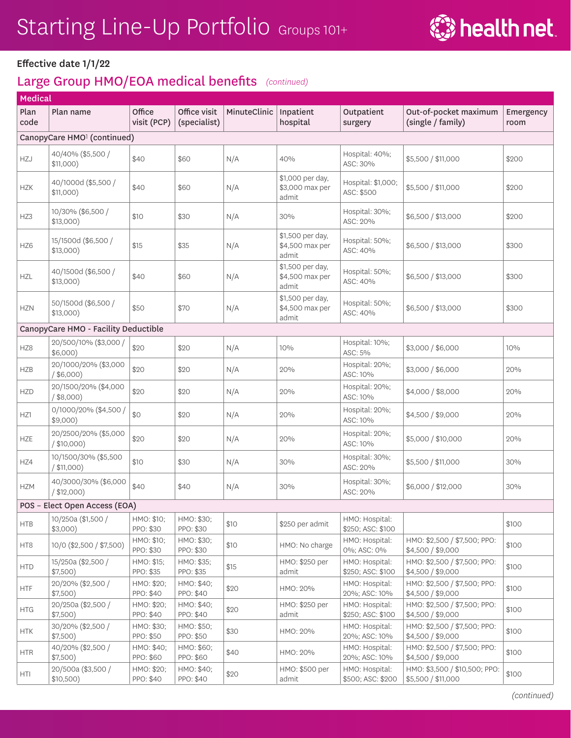

| Medical         |                                         |                         |                              |              |                                              |                                     |                                                     |                   |
|-----------------|-----------------------------------------|-------------------------|------------------------------|--------------|----------------------------------------------|-------------------------------------|-----------------------------------------------------|-------------------|
| Plan<br>code    | Plan name                               | Office<br>visit (PCP)   | Office visit<br>(specialist) | MinuteClinic | Inpatient<br>hospital                        | Outpatient<br>surgery               | Out-of-pocket maximum<br>(single / family)          | Emergency<br>room |
|                 | CanopyCare HMO <sup>1</sup> (continued) |                         |                              |              |                                              |                                     |                                                     |                   |
| HZJ             | 40/40% (\$5,500 /<br>$$11,000$ )        | \$40                    | \$60                         | N/A          | 40%                                          | Hospital: 40%;<br>ASC: 30%          | \$5,500 / \$11,000                                  | \$200             |
| <b>HZK</b>      | 40/1000d (\$5,500 /<br>$$11,000$ )      | \$40                    | \$60                         | N/A          | \$1,000 per day,<br>\$3,000 max per<br>admit | Hospital: \$1,000;<br>ASC: \$500    | \$5,500 / \$11,000                                  | \$200             |
| HZ3             | 10/30% (\$6,500 /<br>$$13,000$ )        | \$10                    | \$30                         | N/A          | 30%                                          | Hospital: 30%;<br>ASC: 20%          | \$6,500 / \$13,000                                  | \$200             |
| HZ <sub>6</sub> | 15/1500d (\$6,500 /<br>$$13,000$ )      | \$15                    | \$35                         | N/A          | \$1,500 per day,<br>\$4,500 max per<br>admit | Hospital: 50%;<br>ASC: 40%          | \$6,500 / \$13,000                                  | \$300             |
| <b>HZL</b>      | 40/1500d (\$6,500 /<br>$$13,000$ )      | \$40                    | \$60                         | N/A          | \$1,500 per day,<br>\$4,500 max per<br>admit | Hospital: 50%;<br>ASC: 40%          | \$6,500 / \$13,000                                  | \$300             |
| <b>HZN</b>      | 50/1500d (\$6,500 /<br>$$13,000$ )      | \$50                    | \$70                         | N/A          | \$1,500 per day,<br>\$4,500 max per<br>admit | Hospital: 50%;<br>ASC: 40%          | \$6,500 / \$13,000                                  | \$300             |
|                 | CanopyCare HMO - Facility Deductible    |                         |                              |              |                                              |                                     |                                                     |                   |
| HZ8             | 20/500/10% (\$3,000 /<br>\$6,000)       | \$20                    | \$20                         | N/A          | 10%                                          | Hospital: 10%;<br>ASC: 5%           | \$3,000 / \$6,000                                   | 10%               |
| <b>HZB</b>      | 20/1000/20% (\$3,000<br>$/$ \$6,000)    | \$20                    | \$20                         | N/A          | 20%                                          | Hospital: 20%;<br>ASC: 10%          | \$3,000 / \$6,000                                   | 20%               |
| <b>HZD</b>      | 20/1500/20% (\$4,000<br>$/$ \$8,000)    | \$20                    | \$20                         | N/A          | 20%                                          | Hospital: 20%;<br>ASC: 10%          | \$4,000 / \$8,000                                   | 20%               |
| HZ1             | 0/1000/20% (\$4,500 /<br>$$9,000$ )     | \$0                     | \$20                         | N/A          | 20%                                          | Hospital: 20%;<br>ASC: 10%          | \$4,500 / \$9,000                                   | 20%               |
| <b>HZE</b>      | 20/2500/20% (\$5,000<br>$/$ \$10,000)   | \$20                    | \$20                         | N/A          | 20%                                          | Hospital: 20%;<br>ASC: 10%          | \$5,000 / \$10,000                                  | 20%               |
| HZ4             | 10/1500/30% (\$5,500<br>/ \$11,000)     | \$10                    | \$30                         | N/A          | 30%                                          | Hospital: 30%;<br>ASC: 20%          | \$5,500 / \$11,000                                  | 30%               |
| <b>HZM</b>      | 40/3000/30% (\$6,000<br>/ \$12,000)     | \$40                    | \$40                         | N/A          | 30%                                          | Hospital: 30%;<br>ASC: 20%          | \$6,000 / \$12,000                                  | 30%               |
|                 | POS - Elect Open Access (EOA)           |                         |                              |              |                                              |                                     |                                                     |                   |
| <b>HTB</b>      | 10/250a (\$1,500 /<br>$$3,000$ )        | HMO: \$10;<br>PPO: \$30 | HMO: \$30;<br>PPO: \$30      | \$10         | \$250 per admit                              | HMO: Hospital:<br>\$250; ASC: \$100 |                                                     | \$100             |
| HT8             | 10/0 (\$2,500 / \$7,500)                | HMO: \$10;<br>PPO: \$30 | HMO: \$30;<br>PPO: \$30      | \$10         | HMO: No charge                               | HMO: Hospital:<br>0%; ASC: 0%       | HMO: \$2,500 / \$7,500; PPO:<br>\$4,500 / \$9,000   | \$100             |
| <b>HTD</b>      | 15/250a (\$2,500 /<br>\$7,500)          | HMO: \$15;<br>PPO: \$35 | HMO: \$35;<br>PPO: \$35      | \$15         | HMO: \$250 per<br>admit                      | HMO: Hospital:<br>\$250; ASC: \$100 | HMO: \$2,500 / \$7,500; PPO:<br>\$4,500 / \$9,000   | \$100             |
| <b>HTF</b>      | 20/20% (\$2,500 /<br>\$7,500)           | HMO: \$20;<br>PPO: \$40 | HMO: \$40;<br>PPO: \$40      | \$20         | HMO: 20%                                     | HMO: Hospital:<br>20%; ASC: 10%     | HMO: \$2,500 / \$7,500; PPO:<br>\$4,500 / \$9,000   | \$100             |
| <b>HTG</b>      | 20/250a (\$2,500 /<br>\$7,500)          | HMO: \$20;<br>PPO: \$40 | HMO: \$40;<br>PPO: \$40      | \$20         | HMO: \$250 per<br>admit                      | HMO: Hospital:<br>\$250; ASC: \$100 | HMO: \$2,500 / \$7,500; PPO:<br>\$4,500 / \$9,000   | \$100             |
| <b>HTK</b>      | 30/20% (\$2,500 /<br>\$7,500)           | HMO: \$30;<br>PPO: \$50 | HMO: \$50;<br>PPO: \$50      | \$30         | HMO: 20%                                     | HMO: Hospital:<br>20%; ASC: 10%     | HMO: \$2,500 / \$7,500; PPO:<br>\$4,500 / \$9,000   | \$100             |
| <b>HTR</b>      | 40/20% (\$2,500 /<br>\$7,500)           | HMO: \$40;<br>PPO: \$60 | HMO: \$60;<br>PPO: \$60      | \$40         | HMO: 20%                                     | HMO: Hospital:<br>20%; ASC: 10%     | HMO: \$2,500 / \$7,500; PPO:<br>\$4,500 / \$9,000   | \$100             |
| <b>HTI</b>      | 20/500a (\$3,500 /<br>\$10,500)         | HMO: \$20;<br>PPO: \$40 | HMO: \$40;<br>PPO: \$40      | \$20         | HMO: \$500 per<br>admit                      | HMO: Hospital:<br>\$500; ASC: \$200 | HMO: \$3,500 / \$10,500; PPO:<br>\$5,500 / \$11,000 | \$100             |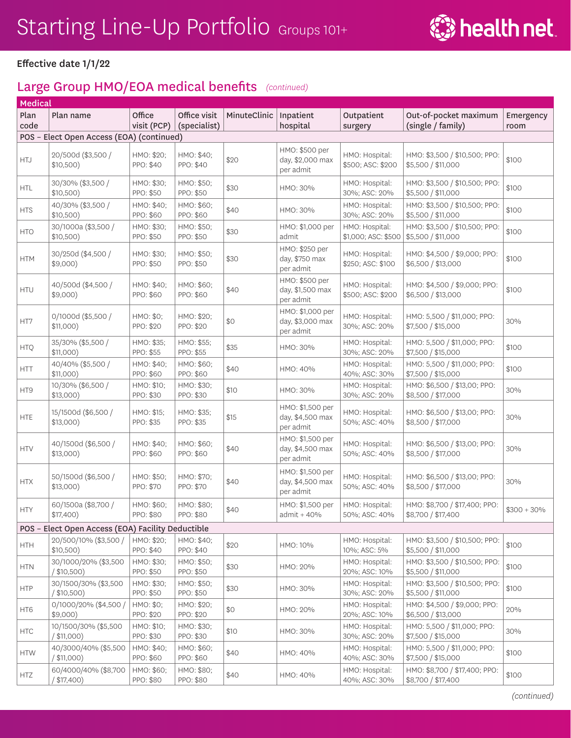

| Medical      |                                                   |                         |                              |              |                                                   |                                       |                                                     |                   |
|--------------|---------------------------------------------------|-------------------------|------------------------------|--------------|---------------------------------------------------|---------------------------------------|-----------------------------------------------------|-------------------|
| Plan<br>code | Plan name                                         | Office<br>visit (PCP)   | Office visit<br>(specialist) | MinuteClinic | Inpatient<br>hospital                             | Outpatient<br>surgery                 | Out-of-pocket maximum<br>(single / family)          | Emergency<br>room |
|              | POS - Elect Open Access (EOA) (continued)         |                         |                              |              |                                                   |                                       |                                                     |                   |
| <b>HTJ</b>   | 20/500d (\$3,500 /<br>$$10,500$ )                 | HMO: \$20;<br>PPO: \$40 | HMO: \$40;<br>PPO: \$40      | \$20         | HMO: \$500 per<br>day, \$2,000 max<br>per admit   | HMO: Hospital:<br>\$500; ASC: \$200   | HMO: \$3,500 / \$10,500; PPO:<br>\$5,500 / \$11,000 | \$100             |
| <b>HTL</b>   | 30/30% (\$3,500 /<br>$$10,500$ )                  | HMO: \$30;<br>PPO: \$50 | HMO: \$50;<br>PPO: \$50      | \$30         | HMO: 30%                                          | HMO: Hospital:<br>30%; ASC: 20%       | HMO: \$3,500 / \$10,500; PPO:<br>\$5,500 / \$11,000 | \$100             |
| <b>HTS</b>   | 40/30% (\$3,500 /<br>$$10,500$ )                  | HMO: \$40;<br>PPO: \$60 | HMO: \$60;<br>PPO: \$60      | \$40         | HMO: 30%                                          | HMO: Hospital:<br>30%; ASC: 20%       | HMO: \$3,500 / \$10,500; PPO:<br>\$5,500 / \$11,000 | \$100             |
| <b>HTO</b>   | 30/1000a (\$3,500 /<br>$$10,500$ )                | HMO: \$30;<br>PPO: \$50 | HMO: \$50;<br>PPO: \$50      | \$30         | HMO: \$1,000 per<br>admit                         | HMO: Hospital:<br>\$1,000; ASC: \$500 | HMO: \$3,500 / \$10,500; PPO:<br>\$5,500 / \$11,000 | \$100             |
| <b>HTM</b>   | 30/250d (\$4,500 /<br>$$9,000$ )                  | HMO: \$30;<br>PPO: \$50 | HMO: \$50;<br>PPO: \$50      | \$30         | HMO: \$250 per<br>day, \$750 max<br>per admit     | HMO: Hospital:<br>\$250; ASC: \$100   | HMO: \$4,500 / \$9,000; PPO:<br>\$6,500 / \$13,000  | \$100             |
| <b>HTU</b>   | 40/500d (\$4,500 /<br>$$9,000$ )                  | HMO: \$40;<br>PPO: \$60 | HMO: \$60;<br>PPO: \$60      | \$40         | HMO: \$500 per<br>day, \$1,500 max<br>per admit   | HMO: Hospital:<br>\$500; ASC: \$200   | HMO: \$4,500 / \$9,000; PPO:<br>\$6,500 / \$13,000  | \$100             |
| HT7          | 0/1000d (\$5,500 /<br>$$11,000$ )                 | HMO: \$0;<br>PPO: \$20  | HMO: \$20;<br>PPO: \$20      | \$0          | HMO: \$1,000 per<br>day, \$3,000 max<br>per admit | HMO: Hospital:<br>30%; ASC: 20%       | HMO: 5,500 / \$11,000; PPO:<br>\$7,500 / \$15,000   | 30%               |
| <b>HTQ</b>   | 35/30% (\$5,500 /<br>$$11,000$ )                  | HMO: \$35;<br>PPO: \$55 | HMO: \$55;<br>PPO: \$55      | \$35         | HMO: 30%                                          | HMO: Hospital:<br>30%; ASC: 20%       | HMO: 5,500 / \$11,000; PPO:<br>\$7,500 / \$15,000   | \$100             |
| <b>HTT</b>   | 40/40% (\$5,500 /<br>$$11,000$ )                  | HMO: \$40;<br>PPO: \$60 | HMO: \$60;<br>PPO: \$60      | \$40         | HMO: 40%                                          | HMO: Hospital:<br>40%; ASC: 30%       | HMO: 5,500 / \$11,000; PPO:<br>\$7,500 / \$15,000   | \$100             |
| HT9          | 10/30% (\$6,500 /<br>$$13,000$ )                  | HMO: \$10;<br>PPO: \$30 | HMO: \$30;<br>PPO: \$30      | \$10         | HMO: 30%                                          | HMO: Hospital:<br>30%; ASC: 20%       | HMO: \$6,500 / \$13,00; PPO:<br>\$8,500 / \$17,000  | 30%               |
| <b>HTE</b>   | 15/1500d (\$6,500 /<br>$$13,000$ )                | HMO: \$15;<br>PPO: \$35 | HMO: \$35;<br>PPO: \$35      | \$15         | HMO: \$1,500 per<br>day, \$4,500 max<br>per admit | HMO: Hospital:<br>50%; ASC: 40%       | HMO: \$6,500 / \$13,00; PPO:<br>\$8,500 / \$17,000  | 30%               |
| <b>HTV</b>   | 40/1500d (\$6,500 /<br>$$13,000$ )                | HMO: \$40;<br>PPO: \$60 | HMO: \$60;<br>PPO: \$60      | \$40         | HMO: \$1,500 per<br>day, \$4,500 max<br>per admit | HMO: Hospital:<br>50%; ASC: 40%       | HMO: \$6,500 / \$13,00; PPO:<br>\$8,500 / \$17,000  | 30%               |
| <b>HTX</b>   | 50/1500d (\$6,500 /<br>$$13,000$ )                | HMO: \$50;<br>PPO: \$70 | HMO: \$70;<br>PPO: \$70      | \$40         | HMO: \$1,500 per<br>day, \$4,500 max<br>per admit | HMO: Hospital:<br>50%; ASC: 40%       | HMO: \$6,500 / \$13,00; PPO:<br>\$8,500 / \$17,000  | 30%               |
| <b>HTY</b>   | 60/1500a (\$8,700 /<br>\$17,400)                  | HMO: \$60;<br>PPO: \$80 | HMO: \$80;<br>PPO: \$80      | \$40         | HMO: \$1,500 per<br>admit $+40%$                  | HMO: Hospital:<br>50%; ASC: 40%       | HMO: \$8,700 / \$17,400; PPO:<br>\$8,700 / \$17,400 | $$300 + 30\%$     |
|              | POS - Elect Open Access (EOA) Facility Deductible |                         |                              |              |                                                   |                                       |                                                     |                   |
| <b>HTH</b>   | 20/500/10% (\$3,500 /<br>\$10,500)                | HMO: \$20;<br>PPO: \$40 | HMO: \$40;<br>PPO: \$40      | \$20         | HMO: 10%                                          | HMO: Hospital:<br>10%; ASC: 5%        | HMO: \$3,500 / \$10,500; PPO:<br>\$5,500 / \$11,000 | \$100             |
| ${\sf HTN}$  | 30/1000/20% (\$3,500<br>$/$ \$10,500)             | HMO: \$30;<br>PPO: \$50 | HMO: \$50;<br>PPO: \$50      | \$30         | HMO: 20%                                          | HMO: Hospital:<br>20%; ASC: 10%       | HMO: \$3,500 / \$10,500; PPO:<br>\$5,500 / \$11,000 | \$100             |
| <b>HTP</b>   | 30/1500/30% (\$3,500<br>$/$ \$10,500)             | HMO: \$30;<br>PPO: \$50 | HMO: \$50;<br>PPO: \$50      | \$30         | HMO: 30%                                          | HMO: Hospital:<br>30%; ASC: 20%       | HMO: \$3,500 / \$10,500; PPO:<br>\$5,500 / \$11,000 | \$100             |
| HT6          | 0/1000/20% (\$4,500 /<br>$$9,000$ )               | HMO: \$0;<br>PPO: \$20  | HMO: \$20;<br>PPO: \$20      | \$0          | HMO: 20%                                          | HMO: Hospital:<br>20%; ASC: 10%       | HMO: \$4,500 / \$9,000; PPO:<br>\$6,500 / \$13,000  | 20%               |
| <b>HTC</b>   | 10/1500/30% (\$5,500<br>/ \$11,000)               | HMO: \$10;<br>PPO: \$30 | HMO: \$30;<br>PPO: \$30      | \$10         | HMO: 30%                                          | HMO: Hospital:<br>30%; ASC: 20%       | HMO: 5,500 / \$11,000; PPO:<br>\$7,500 / \$15,000   | 30%               |
| <b>HTW</b>   | 40/3000/40% (\$5,500<br>/ \$11,000                | HMO: \$40;<br>PPO: \$60 | HMO: \$60;<br>PPO: \$60      | \$40         | HMO: 40%                                          | HMO: Hospital:<br>40%; ASC: 30%       | HMO: 5,500 / \$11,000; PPO:<br>\$7,500 / \$15,000   | \$100             |
| <b>HTZ</b>   | 60/4000/40% (\$8,700<br>(\$17,400)                | HMO: \$60;<br>PPO: \$80 | HMO: \$80;<br>PPO: \$80      | \$40         | HMO: 40%                                          | HMO: Hospital:<br>40%; ASC: 30%       | HMO: \$8,700 / \$17,400; PPO:<br>\$8,700 / \$17,400 | \$100             |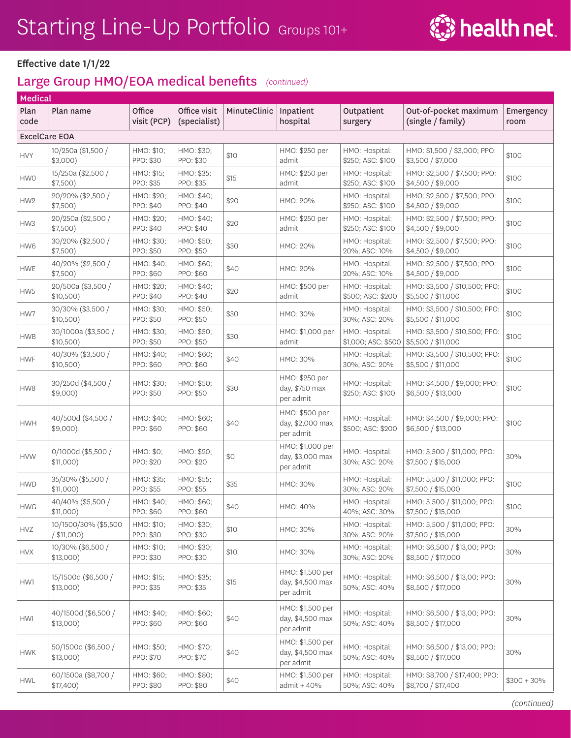

| Medical              |                                     |                         |                              |              |                                                   |                                       |                                                     |                   |
|----------------------|-------------------------------------|-------------------------|------------------------------|--------------|---------------------------------------------------|---------------------------------------|-----------------------------------------------------|-------------------|
| Plan<br>code         | Plan name                           | Office<br>visit (PCP)   | Office visit<br>(specialist) | MinuteClinic | Inpatient<br>hospital                             | Outpatient<br>surgery                 | Out-of-pocket maximum<br>(single / family)          | Emergency<br>room |
| <b>ExcelCare EOA</b> |                                     |                         |                              |              |                                                   |                                       |                                                     |                   |
| <b>HVY</b>           | 10/250a (\$1,500 /<br>$$3,000$ )    | HMO: \$10;<br>PPO: \$30 | HMO: \$30;<br>PPO: \$30      | \$10         | HMO: \$250 per<br>admit                           | HMO: Hospital:<br>\$250; ASC: \$100   | HMO: \$1,500 / \$3,000; PPO:<br>\$3,500 / \$7,000   | \$100             |
| <b>HWO</b>           | 15/250a (\$2,500 /<br>\$7,500)      | HMO: \$15;<br>PPO: \$35 | HMO: \$35;<br>PPO: \$35      | \$15         | HMO: \$250 per<br>admit                           | HMO: Hospital:<br>\$250; ASC: \$100   | HMO: \$2,500 / \$7,500; PPO:<br>\$4,500 / \$9,000   | \$100             |
| HW <sub>2</sub>      | 20/20% (\$2,500 /<br>\$7,500)       | HMO: \$20;<br>PPO: \$40 | HMO: \$40;<br>PPO: \$40      | \$20         | HMO: 20%                                          | HMO: Hospital:<br>\$250; ASC: \$100   | HMO: \$2,500 / \$7,500; PPO:<br>\$4,500 / \$9,000   | \$100             |
| HW3                  | 20/250a (\$2,500 /<br>\$7,500)      | HMO: \$20;<br>PPO: \$40 | HMO: \$40;<br>PPO: \$40      | \$20         | HMO: \$250 per<br>admit                           | HMO: Hospital:<br>\$250; ASC: \$100   | HMO: \$2,500 / \$7,500; PPO:<br>\$4,500 / \$9,000   | \$100             |
| HW6                  | 30/20% (\$2,500 /<br>\$7,500)       | HMO: \$30;<br>PPO: \$50 | HMO: \$50;<br>PPO: \$50      | \$30         | HMO: 20%                                          | HMO: Hospital:<br>20%; ASC: 10%       | HMO: \$2,500 / \$7,500; PPO:<br>\$4,500 / \$9,000   | \$100             |
| <b>HWE</b>           | 40/20% (\$2,500 /<br>\$7,500)       | HMO: \$40;<br>PPO: \$60 | HMO: \$60;<br>PPO: \$60      | \$40         | HMO: 20%                                          | HMO: Hospital:<br>20%; ASC: 10%       | HMO: \$2,500 / \$7,500; PPO:<br>\$4,500 / \$9,000   | \$100             |
| HW <sub>5</sub>      | 20/500a (\$3,500 /<br>\$10,500)     | HMO: \$20;<br>PPO: \$40 | HMO: \$40;<br>PPO: \$40      | \$20         | HMO: \$500 per<br>admit                           | HMO: Hospital:<br>\$500; ASC: \$200   | HMO: \$3,500 / \$10,500; PPO:<br>\$5,500 / \$11,000 | \$100             |
| HW7                  | 30/30% (\$3,500 /<br>\$10,500)      | HMO: \$30;<br>PPO: \$50 | HMO: \$50;<br>PPO: \$50      | \$30         | HMO: 30%                                          | HMO: Hospital:<br>30%; ASC: 20%       | HMO: \$3,500 / \$10,500; PPO:<br>\$5,500 / \$11,000 | \$100             |
| <b>HWB</b>           | 30/1000a (\$3,500 /<br>$$10,500$ )  | HMO: \$30;<br>PPO: \$50 | HMO: \$50;<br>PPO: \$50      | \$30         | HMO: \$1,000 per<br>admit                         | HMO: Hospital:<br>\$1,000; ASC: \$500 | HMO: \$3,500 / \$10,500; PPO:<br>\$5,500 / \$11,000 | \$100             |
| <b>HWF</b>           | 40/30% (\$3,500 /<br>\$10,500)      | HMO: \$40;<br>PPO: \$60 | HMO: \$60;<br>PPO: \$60      | \$40         | HMO: 30%                                          | HMO: Hospital:<br>30%; ASC: 20%       | HMO: \$3,500 / \$10,500; PPO:<br>\$5,500 / \$11,000 | \$100             |
| HW8                  | 30/250d (\$4,500 /<br>$$9,000$ )    | HMO: \$30;<br>PPO: \$50 | HMO: \$50;<br>PPO: \$50      | \$30         | HMO: \$250 per<br>day, \$750 max<br>per admit     | HMO: Hospital:<br>\$250; ASC: \$100   | HMO: \$4,500 / \$9,000; PPO:<br>\$6,500 / \$13,000  | \$100             |
| <b>HWH</b>           | 40/500d (\$4,500 /<br>$$9,000$ )    | HMO: \$40;<br>PPO: \$60 | HMO: \$60;<br>PPO: \$60      | \$40         | HMO: \$500 per<br>day, \$2,000 max<br>per admit   | HMO: Hospital:<br>\$500; ASC: \$200   | HMO: \$4,500 / \$9,000; PPO:<br>\$6,500 / \$13,000  | \$100             |
| <b>HVW</b>           | 0/1000d (\$5,500 /<br>$$11,000$ )   | HMO: \$0;<br>PPO: \$20  | HMO: \$20;<br>PPO: \$20      | \$0          | HMO: \$1,000 per<br>day, \$3,000 max<br>per admit | HMO: Hospital:<br>30%; ASC: 20%       | HMO: 5,500 / \$11,000; PPO:<br>\$7,500 / \$15,000   | 30%               |
| <b>HWD</b>           | 35/30% (\$5,500 /<br>$$11,000$ )    | HMO: \$35;<br>PPO: \$55 | HMO: \$55;<br>PPO: \$55      | \$35         | HMO: 30%                                          | HMO: Hospital:<br>30%; ASC: 20%       | HMO: 5,500 / \$11,000; PPO:<br>\$7,500 / \$15,000   | \$100             |
| <b>HWG</b>           | 40/40% (\$5,500 /<br>\$11,000)      | HMO: \$40;<br>PPO: \$60 | HMO: \$60;<br>PPO: \$60      | \$40         | HMO: 40%                                          | HMO: Hospital:<br>40%; ASC: 30%       | HMO: 5,500 / \$11,000; PPO:<br>\$7,500 / \$15,000   | \$100             |
| <b>HVZ</b>           | 10/1500/30% (\$5,500<br>/ \$11,000) | HMO: \$10;<br>PPO: \$30 | HMO: \$30;<br>PPO: \$30      | \$10         | HMO: 30%                                          | HMO: Hospital:<br>30%; ASC: 20%       | HMO: 5,500 / \$11,000; PPO:<br>\$7,500 / \$15,000   | 30%               |
| <b>HVX</b>           | 10/30% (\$6,500 /<br>$$13,000$ )    | HMO: \$10;<br>PPO: \$30 | HMO: \$30;<br>PPO: \$30      | \$10         | HMO: 30%                                          | HMO: Hospital:<br>30%; ASC: 20%       | HMO: \$6,500 / \$13,00; PPO:<br>\$8,500 / \$17,000  | 30%               |
| HW1                  | 15/1500d (\$6,500 /<br>$$13,000$ )  | HMO: \$15;<br>PPO: \$35 | HMO: \$35;<br>PPO: \$35      | \$15         | HMO: \$1,500 per<br>day, \$4,500 max<br>per admit | HMO: Hospital:<br>50%; ASC: 40%       | HMO: \$6,500 / \$13,00; PPO:<br>\$8,500 / \$17,000  | 30%               |
| <b>HWI</b>           | 40/1500d (\$6,500 /<br>$$13,000$ )  | HMO: \$40;<br>PPO: \$60 | HMO: \$60;<br>PPO: \$60      | \$40         | HMO: \$1,500 per<br>day, \$4,500 max<br>per admit | HMO: Hospital:<br>50%; ASC: 40%       | HMO: \$6,500 / \$13,00; PPO:<br>\$8,500 / \$17,000  | 30%               |
| <b>HWK</b>           | 50/1500d (\$6,500 /<br>$$13,000$ )  | HMO: \$50;<br>PPO: \$70 | HMO: \$70;<br>PPO: \$70      | \$40         | HMO: \$1,500 per<br>day, \$4,500 max<br>per admit | HMO: Hospital:<br>50%; ASC: 40%       | HMO: \$6,500 / \$13,00; PPO:<br>\$8,500 / \$17,000  | 30%               |
| <b>HWL</b>           | 60/1500a (\$8,700 /<br>\$17,400)    | HMO: \$60;<br>PPO: \$80 | HMO: \$80;<br>PPO: \$80      | \$40         | HMO: \$1,500 per<br>admit + 40%                   | HMO: Hospital:<br>50%; ASC: 40%       | HMO: \$8,700 / \$17,400; PPO:<br>\$8,700 / \$17,400 | $$300 + 30\%$     |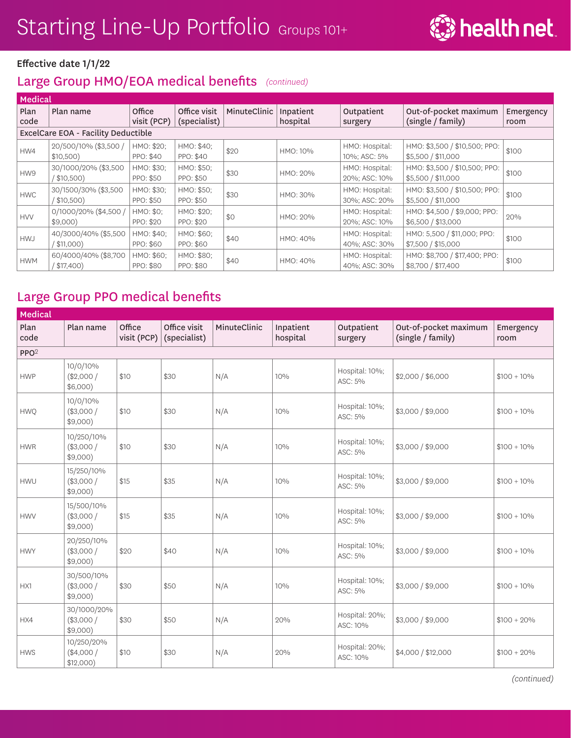

#### Large Group HMO/EOA medical benefits *(continued)*

| Medical      |                                       |                                |                              |              |                       |                                 |                                                     |                   |  |  |  |
|--------------|---------------------------------------|--------------------------------|------------------------------|--------------|-----------------------|---------------------------------|-----------------------------------------------------|-------------------|--|--|--|
| Plan<br>code | Plan name                             | Office<br>visit (PCP)          | Office visit<br>(specialist) | MinuteClinic | Inpatient<br>hospital | Outpatient<br>surgery           | Out-of-pocket maximum<br>(single / family)          | Emergency<br>room |  |  |  |
|              | ExcelCare EOA - Facility Deductible   |                                |                              |              |                       |                                 |                                                     |                   |  |  |  |
| HW4          | 20/500/10% (\$3,500 /<br>$$10,500$ )  | HMO: \$20;<br>PPO: \$40        | HMO: \$40;<br>PPO: \$40      | \$20         | HMO: 10%              | HMO: Hospital:<br>10%; ASC: 5%  | HMO: \$3,500 / \$10,500; PPO:<br>\$5,500 / \$11,000 | \$100             |  |  |  |
| HW9          | 30/1000/20% (\$3,500<br>(\$10,500)    | HMO: \$30;<br>PPO: \$50        | HMO: \$50;<br>PPO: \$50      | \$30         | HMO: 20%              | HMO: Hospital:<br>20%; ASC: 10% | HMO: \$3,500 / \$10,500; PPO:<br>\$5,500 / \$11,000 | \$100             |  |  |  |
| <b>HWC</b>   | 30/1500/30% (\$3,500<br>$($ \$10,500) | HMO: \$30:<br>PPO: \$50        | HMO: \$50;<br>PPO: \$50      | \$30         | HMO: 30%              | HMO: Hospital:<br>30%; ASC: 20% | HMO: \$3,500 / \$10,500; PPO:<br>\$5,500 / \$11,000 | \$100             |  |  |  |
| <b>HVV</b>   | 0/1000/20% (\$4,500 /<br>\$9,000      | HMO: \$0;<br>PPO: \$20         | HMO: \$20;<br>PPO: \$20      | \$0          | HMO: 20%              | HMO: Hospital:<br>20%; ASC: 10% | HMO: \$4,500 / \$9,000; PPO:<br>\$6,500 / \$13,000  | 20%               |  |  |  |
| <b>HWJ</b>   | 40/3000/40% (\$5,500<br>( \$11,000)   | HMO: \$40;<br>PPO: \$60        | HMO: \$60;<br>PPO: \$60      | \$40         | HMO: 40%              | HMO: Hospital:<br>40%; ASC: 30% | HMO: 5,500 / \$11,000; PPO:<br>\$7,500 / \$15,000   | \$100             |  |  |  |
| <b>HWM</b>   | 60/4000/40% (\$8,700<br>$($ \$17,400) | HMO: \$60;<br><b>PPO: \$80</b> | HMO: \$80;<br>PPO: \$80      | \$40         | HMO: 40%              | HMO: Hospital:<br>40%; ASC: 30% | HMO: \$8,700 / \$17,400; PPO:<br>\$8,700 / \$17,400 | \$100             |  |  |  |

### Large Group PPO medical benefits

| <b>Medical</b>   |                                        |                       |                              |              |                       |                            |                                            |                   |
|------------------|----------------------------------------|-----------------------|------------------------------|--------------|-----------------------|----------------------------|--------------------------------------------|-------------------|
| Plan<br>code     | Plan name                              | Office<br>visit (PCP) | Office visit<br>(specialist) | MinuteClinic | Inpatient<br>hospital | Outpatient<br>surgery      | Out-of-pocket maximum<br>(single / family) | Emergency<br>room |
| PPO <sup>2</sup> |                                        |                       |                              |              |                       |                            |                                            |                   |
| <b>HWP</b>       | 10/0/10%<br>(\$2,000/<br>$$6,000$ )    | \$10                  | \$30                         | N/A          | 10%                   | Hospital: 10%;<br>ASC: 5%  | \$2,000 / \$6,000                          | $$100 + 10\%$     |
| <b>HWQ</b>       | 10/0/10%<br>(\$3,000/<br>\$9,000)      | \$10                  | \$30                         | N/A          | 10%                   | Hospital: 10%;<br>ASC: 5%  | \$3,000 / \$9,000                          | $$100 + 10\%$     |
| <b>HWR</b>       | 10/250/10%<br>(\$3,000/<br>$$9,000$ )  | \$10                  | \$30                         | N/A          | 10%                   | Hospital: 10%;<br>ASC: 5%  | \$3,000 / \$9,000                          | $$100 + 10\%$     |
| <b>HWU</b>       | 15/250/10%<br>(\$3,000/<br>\$9,000)    | \$15                  | \$35                         | N/A          | 10%                   | Hospital: 10%;<br>ASC: 5%  | \$3,000 / \$9,000                          | $$100 + 10\%$     |
| <b>HWV</b>       | 15/500/10%<br>(\$3,000/<br>\$9,000)    | \$15                  | \$35                         | N/A          | 10%                   | Hospital: 10%;<br>ASC: 5%  | \$3,000 / \$9,000                          | $$100 + 10\%$     |
| <b>HWY</b>       | 20/250/10%<br>(\$3,000/<br>$$9,000$ )  | \$20                  | \$40                         | N/A          | 10%                   | Hospital: 10%;<br>ASC: 5%  | \$3,000 / \$9,000                          | $$100 + 10\%$     |
| HX1              | 30/500/10%<br>(\$3,000/<br>$$9,000$ )  | \$30                  | \$50                         | N/A          | 10%                   | Hospital: 10%;<br>ASC: 5%  | \$3,000 / \$9,000                          | $$100 + 10\%$     |
| HX4              | 30/1000/20%<br>(\$3,000/<br>$$9,000$ ) | \$30                  | \$50                         | N/A          | 20%                   | Hospital: 20%;<br>ASC: 10% | \$3,000 / \$9,000                          | $$100 + 20\%$     |
| <b>HWS</b>       | 10/250/20%<br>(\$4,000/<br>\$12,000)   | \$10                  | \$30                         | N/A          | 20%                   | Hospital: 20%;<br>ASC: 10% | \$4,000 / \$12,000                         | $$100 + 20\%$     |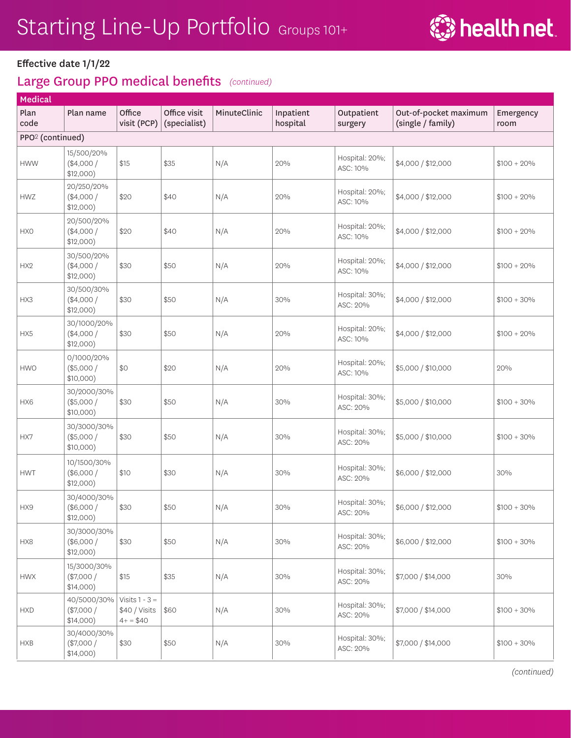

#### Effective date 1/1/22

#### Large Group PPO medical benefits *(continued)*

| <b>Medical</b>               |                                          |                                                 |                              |              |                       |                            |                                            |                   |
|------------------------------|------------------------------------------|-------------------------------------------------|------------------------------|--------------|-----------------------|----------------------------|--------------------------------------------|-------------------|
| Plan<br>code                 | Plan name                                | Office<br>visit (PCP)                           | Office visit<br>(specialist) | MinuteClinic | Inpatient<br>hospital | Outpatient<br>surgery      | Out-of-pocket maximum<br>(single / family) | Emergency<br>room |
| PPO <sup>2</sup> (continued) |                                          |                                                 |                              |              |                       |                            |                                            |                   |
| <b>HWW</b>                   | 15/500/20%<br>$(*4,000/$<br>\$12,000)    | \$15                                            | \$35                         | N/A          | 20%                   | Hospital: 20%;<br>ASC: 10% | \$4,000 / \$12,000                         | $$100 + 20\%$     |
| <b>HWZ</b>                   | 20/250/20%<br>(\$4,000/<br>\$12,000)     | \$20                                            | \$40                         | N/A          | 20%                   | Hospital: 20%;<br>ASC: 10% | \$4,000 / \$12,000                         | $$100 + 20\%$     |
| <b>HXO</b>                   | 20/500/20%<br>$(*4,000/$<br>\$12,000)    | \$20                                            | \$40                         | N/A          | 20%                   | Hospital: 20%;<br>ASC: 10% | \$4,000 / \$12,000                         | $$100 + 20\%$     |
| HX <sub>2</sub>              | 30/500/20%<br>$(*4,000/$<br>\$12,000)    | \$30                                            | \$50                         | N/A          | 20%                   | Hospital: 20%;<br>ASC: 10% | \$4,000 / \$12,000                         | $$100 + 20\%$     |
| HX3                          | 30/500/30%<br>$(*4,000/$<br>\$12,000)    | \$30                                            | \$50                         | N/A          | 30%                   | Hospital: 30%;<br>ASC: 20% | \$4,000 / \$12,000                         | $$100 + 30\%$     |
| HX5                          | 30/1000/20%<br>(\$4,000/<br>\$12,000)    | \$30                                            | \$50                         | N/A          | 20%                   | Hospital: 20%;<br>ASC: 10% | \$4,000 / \$12,000                         | $$100 + 20\%$     |
| <b>HWO</b>                   | 0/1000/20%<br>$(*5,000/$<br>$$10,000$ )  | \$0                                             | \$20                         | N/A          | 20%                   | Hospital: 20%;<br>ASC: 10% | \$5,000 / \$10,000                         | 20%               |
| HX6                          | 30/2000/30%<br>$(*5,000/$<br>$$10,000$ ) | \$30                                            | \$50                         | N/A          | 30%                   | Hospital: 30%;<br>ASC: 20% | \$5,000 / \$10,000                         | $$100 + 30\%$     |
| HX7                          | 30/3000/30%<br>(\$5,000/<br>$$10,000$ )  | \$30                                            | \$50                         | N/A          | 30%                   | Hospital: 30%;<br>ASC: 20% | \$5,000 / \$10,000                         | $$100 + 30\%$     |
| <b>HWT</b>                   | 10/1500/30%<br>(\$6,000/<br>\$12,000)    | \$10                                            | \$30                         | N/A          | 30%                   | Hospital: 30%;<br>ASC: 20% | \$6,000 / \$12,000                         | 30%               |
| HX9                          | 30/4000/30%<br>(\$6,000/<br>\$12,000)    | \$30                                            | \$50                         | N/A          | 30%                   | Hospital: 30%;<br>ASC: 20% | \$6,000 / \$12,000                         | $$100 + 30\%$     |
| HX8                          | 30/3000/30%<br>(\$6,000/<br>\$12,000)    | \$30                                            | \$50                         | N/A          | 30%                   | Hospital: 30%;<br>ASC: 20% | \$6,000 / \$12,000                         | $$100 + 30\%$     |
| <b>HWX</b>                   | 15/3000/30%<br>(\$7,000/<br>\$14,000)    | \$15                                            | \$35                         | N/A          | 30%                   | Hospital: 30%;<br>ASC: 20% | \$7,000 / \$14,000                         | 30%               |
| <b>HXD</b>                   | 40/5000/30%<br>$(*7,000/$<br>\$14,000)   | Visits $1 - 3 =$<br>\$40 / Visits<br>$4+ = $40$ | \$60                         | N/A          | 30%                   | Hospital: 30%;<br>ASC: 20% | \$7,000 / \$14,000                         | $$100 + 30\%$     |
| <b>HXB</b>                   | 30/4000/30%<br>$(*7,000/$<br>\$14,000)   | \$30                                            | \$50                         | N/A          | 30%                   | Hospital: 30%;<br>ASC: 20% | \$7,000 / \$14,000                         | $$100 + 30\%$     |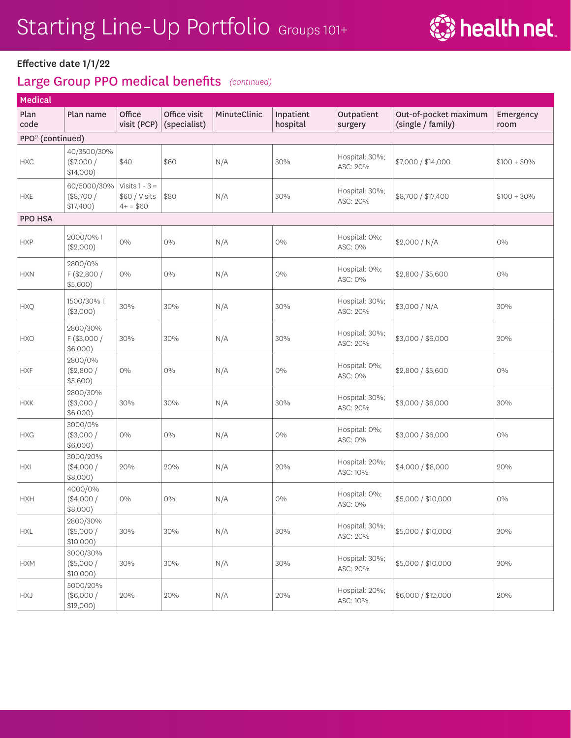

#### Effective date 1/1/22

| <b>Medical</b>               |                                        |                                                  |                              |              |                       |                            |                                            |                   |
|------------------------------|----------------------------------------|--------------------------------------------------|------------------------------|--------------|-----------------------|----------------------------|--------------------------------------------|-------------------|
| Plan<br>code                 | Plan name                              | Office<br>visit (PCP)                            | Office visit<br>(specialist) | MinuteClinic | Inpatient<br>hospital | Outpatient<br>surgery      | Out-of-pocket maximum<br>(single / family) | Emergency<br>room |
| PPO <sup>2</sup> (continued) |                                        |                                                  |                              |              |                       |                            |                                            |                   |
| <b>HXC</b>                   | 40/3500/30%<br>$(*7,000/$<br>\$14,000) | \$40                                             | \$60                         | N/A          | 30%                   | Hospital: 30%;<br>ASC: 20% | \$7,000 / \$14,000                         | $$100 + 30\%$     |
| <b>HXE</b>                   | 60/5000/30%<br>(\$8,700/<br>\$17,400)  | Visits $1 - 3 =$<br>\$60 / Visits<br>$4+$ = \$60 | \$80                         | N/A          | 30%                   | Hospital: 30%;<br>ASC: 20% | \$8,700 / \$17,400                         | $$100 + 30\%$     |
| PPO HSA                      |                                        |                                                  |                              |              |                       |                            |                                            |                   |
| <b>HXP</b>                   | 2000/0% I<br>(\$2,000)                 | $O\%$                                            | $O\%$                        | N/A          | $O\%$                 | Hospital: 0%;<br>ASC: 0%   | \$2,000 / N/A                              | $O\%$             |
| <b>HXN</b>                   | 2800/0%<br>$F$ (\$2,800 /<br>\$5,600)  | $0\%$                                            | $O\%$                        | N/A          | $O\%$                 | Hospital: 0%;<br>ASC: 0%   | \$2,800 / \$5,600                          | $0\%$             |
| <b>HXQ</b>                   | 1500/30%  <br>(\$3,000)                | 30%                                              | 30%                          | N/A          | 30%                   | Hospital: 30%;<br>ASC: 20% | \$3,000 / N/A                              | 30%               |
| <b>HXO</b>                   | 2800/30%<br>$F$ (\$3,000 /<br>\$6,000) | 30%                                              | 30%                          | N/A          | 30%                   | Hospital: 30%;<br>ASC: 20% | \$3,000 / \$6,000                          | 30%               |
| <b>HXF</b>                   | 2800/0%<br>(\$2,800/<br>\$5,600)       | $0\%$                                            | $0\%$                        | N/A          | $O\%$                 | Hospital: 0%;<br>ASC: 0%   | \$2,800 / \$5,600                          | $0\%$             |
| <b>HXK</b>                   | 2800/30%<br>(\$3,000/<br>\$6,000)      | 30%                                              | 30%                          | N/A          | 30%                   | Hospital: 30%;<br>ASC: 20% | \$3,000 / \$6,000                          | 30%               |
| <b>HXG</b>                   | 3000/0%<br>(\$3,000/<br>\$6,000)       | $0\%$                                            | $O\%$                        | N/A          | $\rm O \%$            | Hospital: 0%;<br>ASC: 0%   | \$3,000 / \$6,000                          | $0\%$             |
| HXI                          | 3000/20%<br>$(*4,000/$<br>\$8,000)     | 20%                                              | 20%                          | N/A          | 20%                   | Hospital: 20%;<br>ASC: 10% | \$4,000 / \$8,000                          | 20%               |
| <b>HXH</b>                   | 4000/0%<br>(\$4,000/<br>$$8,000$ )     | $0\%$                                            | $0\%$                        | N/A          | $0\%$                 | Hospital: 0%;<br>ASC: 0%   | \$5,000 / \$10,000                         | $0\%$             |
| ${\sf HXL}$                  | 2800/30%<br>(\$5,000/<br>$$10,000$ )   | 30%                                              | 30%                          | N/A          | 30%                   | Hospital: 30%;<br>ASC: 20% | \$5,000 / \$10,000                         | 30%               |
| <b>HXM</b>                   | 3000/30%<br>(\$5,000/<br>$$10,000$ )   | 30%                                              | 30%                          | N/A          | 30%                   | Hospital: 30%;<br>ASC: 20% | \$5,000 / \$10,000                         | 30%               |
| <b>HXJ</b>                   | 5000/20%<br>(\$6,000/<br>\$12,000)     | 20%                                              | 20%                          | N/A          | 20%                   | Hospital: 20%;<br>ASC: 10% | \$6,000 / \$12,000                         | 20%               |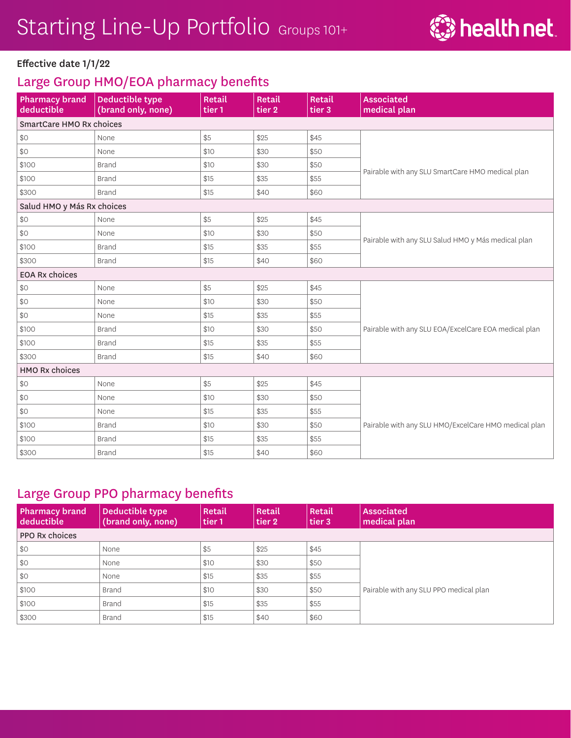

## Large Group HMO/EOA pharmacy benefits

| <b>Pharmacy brand</b><br>deductible | Deductible type<br>(brand only, none) | Retail<br>tier 1 | Retail<br>tier <sub>2</sub> | Retail<br>tier <sub>3</sub> | <b>Associated</b><br>medical plan                    |  |  |
|-------------------------------------|---------------------------------------|------------------|-----------------------------|-----------------------------|------------------------------------------------------|--|--|
| SmartCare HMO Rx choices            |                                       |                  |                             |                             |                                                      |  |  |
| \$0                                 | None                                  | \$5              | \$25                        | \$45                        |                                                      |  |  |
| \$0                                 | None                                  | \$10             | \$30                        | \$50                        |                                                      |  |  |
| \$100                               | <b>Brand</b>                          | \$10             | \$30                        | \$50                        |                                                      |  |  |
| \$100                               | <b>Brand</b>                          |                  | \$35                        | \$55                        | Pairable with any SLU SmartCare HMO medical plan     |  |  |
| \$300                               | <b>Brand</b>                          | \$15             | \$40                        | \$60                        |                                                      |  |  |
| Salud HMO y Más Rx choices          |                                       |                  |                             |                             |                                                      |  |  |
| \$0                                 | None                                  | \$5              | \$25                        | \$45                        |                                                      |  |  |
| \$0                                 | None                                  | \$10             | \$30                        | \$50                        | Pairable with any SLU Salud HMO y Más medical plan   |  |  |
| \$100                               | <b>Brand</b>                          | \$15             | \$35                        | \$55                        |                                                      |  |  |
| \$300                               | <b>Brand</b>                          | \$15             | \$40                        | \$60                        |                                                      |  |  |
| <b>EOA Rx choices</b>               |                                       |                  |                             |                             |                                                      |  |  |
| \$0                                 | None                                  | \$5              | \$25                        | \$45                        |                                                      |  |  |
| \$0                                 | None                                  | \$10             | \$30                        | \$50                        |                                                      |  |  |
| \$0                                 | None                                  | \$15             | \$35                        | \$55                        |                                                      |  |  |
| \$100                               | <b>Brand</b>                          | \$10             | \$30                        | \$50                        | Pairable with any SLU EOA/ExcelCare EOA medical plan |  |  |
| \$100                               | <b>Brand</b>                          | \$15             | \$35                        | \$55                        |                                                      |  |  |
| \$300                               | <b>Brand</b>                          | \$15             | \$40                        | \$60                        |                                                      |  |  |
| <b>HMO Rx choices</b>               |                                       |                  |                             |                             |                                                      |  |  |
| \$0                                 | None                                  | \$5              | \$25                        | \$45                        |                                                      |  |  |
| \$0                                 | None                                  | \$10             | \$30                        | \$50                        |                                                      |  |  |
| \$0                                 | None                                  | \$15             | \$35                        | \$55                        |                                                      |  |  |
| \$100                               | <b>Brand</b>                          | \$10             | \$30                        | \$50                        | Pairable with any SLU HMO/ExcelCare HMO medical plan |  |  |
| \$100                               | <b>Brand</b>                          | \$15             | \$35                        | \$55                        |                                                      |  |  |
| \$300                               | <b>Brand</b>                          | \$15             | \$40                        | \$60                        |                                                      |  |  |

### Large Group PPO pharmacy benefits

| <b>Pharmacy brand</b><br>deductible | Deductible type<br>(brand only, none) | Retail<br>tier 1 | Retail<br>tier 2 | Retail<br>tier 3 | <b>Associated</b><br>medical plan      |  |
|-------------------------------------|---------------------------------------|------------------|------------------|------------------|----------------------------------------|--|
| <b>PPO Rx choices</b>               |                                       |                  |                  |                  |                                        |  |
| $\frac{1}{2}$                       | None                                  | \$5              | \$25             | \$45             |                                        |  |
| $ $ \$0                             | None                                  | \$10             | \$30             | \$50             |                                        |  |
| $ $ \$0                             | None                                  | \$15             | \$35             | \$55             |                                        |  |
| \$100                               | Brand                                 | \$10             | \$30             | \$50             | Pairable with any SLU PPO medical plan |  |
| \$100                               | Brand                                 | \$15             | \$35             | \$55             |                                        |  |
| \$300                               | Brand                                 | \$15             | \$40             | \$60             |                                        |  |